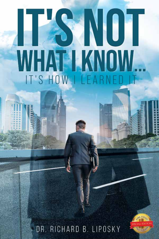# NOT WHAT IKNOW IT'S HOW I LEARNE

# DR. RICHARD B. LIPOSKY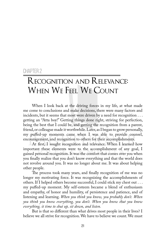# Chapter 2

# Recognition and Relevance: When We Feel We Count

When I look back at the driving forces in my life, at what made me come to conclusions and make decisions, there were many factors and incidents, but it seems that most were driven by a need for recognition . . . getting an "Atta boy!" Getting things done right, striving for perfection, being the best that I could be, and getting the recognition from a parent, friend, or colleague made it worthwhile. Later, as I began to grow personally, my puffed-up moments came when I was able to provide counsel, encouragement, and recognition to others for their accomplishments.

At first, I sought recognition and relevance. When I learned how important these elements were to the accomplishment of any goal, I gained personal recognition. It was the comfort that comes over you when you finally realize that you don't know everything and that the world does not revolve around you. It was no longer about me. It was about helping other people.

The process took many years, and finally recognition of me was no longer my motivating force. It was recognizing the accomplishments of others. If I helped others become successful, I could stick my chest out . . . my puffed-up moment. My self-esteem became a blend of enthusiasm and empathy, of honor and humility, of persistence and patience, and of listening and learning. *When you think you know, you probably don't. When you think you know everything, you don't. When you know that you know everything, it time to shut up, sit down, and listen.*

But is that so different than what drives most people in their lives? I believe we all strive for recognition. We have to believe we count. We must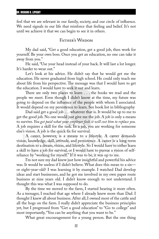feel that we are relevant in our family, society, and our circle of influence. We need signals in our life that reinforce that feeling and belief. It's not until we achieve it that we can begin to see it in others.

# Father's Wisdom

My dad said, "Get a good education, get a good job, then work for yourself. Be your own boss. Once you get an education, no one can take it away from you."

He said, "Use your head instead of your back. It will last a lot longer. It's harder to wear out."

Let's look at his advice. He didn't say that he would get me the education. He never graduated from high school. He could only teach me about life from his perspective. The message was that I would have to get the education. I would have to seek it out and learn.

There are only two places to learn . . . the books we read and the people we meet. Even though I didn't know at the time, my future was going to depend on the influence of the people with whom I associated. It would depend on my persistence to learn. See book list in bibliography

Dad said get a good job . . . whatever that is. It would be up to me to get the good job. No one would just give me the job. A job is only a means to survive. *You get paid what your employer feels it will cost him to replace you.* A job requires a skill for the task. In a job, you are working for someone else's vision. A job is the quick fix for survival.

A career, however, is a means to a lifestyle. A career demands vision, knowledge, skill, attitude, and persistence. A career is a long-term destination to a dream, vision, and lifestyle. So I would have to either learn a skill to have a job for survival, or I would have to pursue a vision of selfreliance by "working for myself." If it was to be, it was up to me.

I'm not sure my dad knew just how insightful and powerful his advice was. It would be useless if I didn't believe. What does this mean to a six or eight-year-old? I was learning it by example. I watched Dad develop ideas and start businesses, and he got me involved in my own paper route business at nine years old. I didn't know enough to not understand. I thought this was what I was supposed to do.

By the time we moved to the farm, I started hearing it more often. As a teenager, I reached that age where I already knew more than Dad. I thought I knew all about business. After all, I owned most of the cattle and all the hogs on the farm. I really didn't appreciate the business principles yet, but I progressed from "Get a good education" to "Go to college" and most importantly, "You can be anything that you want to be."

What great encouragement for a young person. But the one thing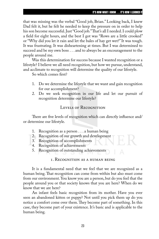that was missing was the verbal "Good job, Brian." Looking back, I knew Dad felt it, but he felt he needed to keep the pressure on in order to help his son become successful. Just "Good job." That's all I needed. I could plow a field for eight hours, and the best I got was "Rows are a little crooked" or "Why did you let it rain and let the bales of hay get wet?" It was tough. It was frustrating. It was disheartening at times. But I was determined to succeed and be my own boss . . . and to always be an encouragement to the people around me.

Was this determination for success because I wanted recognition or a lifestyle? I believe we all need recognition, but how we pursue, understand, and acclimate to recognition will determine the quality of our lifestyle.

So which comes first?

- 1. Do we determine the lifestyle that we want and gain recognition for our accomplishment?
- 2. Do we seek recognition in our life and let our pursuit of recognition determine our lifestyle?

# LEVELS OF RECOGNITION

There are five levels of recognition which can directly influence and/ or determine our lifestyle.

- 1. Recognition as a person . . . a human being
- 2. Recognition of our growth and development
- 3. Recognition of accomplishments
- 4. Recognition of achievements
- 5. Recognition of outstanding achievements

### 1. Recognition as a human being

It is a fundamental need that we feel that we are recognized as a human being. That recognition can come from within but also must come from our environment. You know you are a person, but do you feel that the people around you or that society knows that you are here? When do we know that we are here?

An infant feels basic recognition from its mother. Have you ever seen an abandoned kitten or puppy? Not until you pick them up do you notice a comfort come over them. They become part of something. In this case, they become part of your existence. It's basic and is applicable to the human being.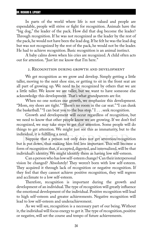#### DR. RICHARD B. LIPOSKY

In parts of the world where life is not valued and people are expendable, people will strive or fight for recognition. Animals have the "big dog," the leader of the pack. How did that dog become the leader? Through recognition. If he was not recognized as the leader by the rest of the pack, he would not have been the lead dog. If he felt he was the lead dog but was not recognized by the rest of the pack, he would not be the leader. He had to achieve recognition. Basic recognition is an animal instinct.

A baby calms down when his cries are recognized. A child often acts out for attention. "Just let me know that I'm here."

#### 2. Recognition during growth and development

We get recognition as we grow and develop. Simply getting a little taller, moving to the next shoe size, or getting to sit in the front seat are all part of growing up. We need to be recognized by others that we are a little taller. We know we are taller, but we want to have someone else acknowledge this development. That's what grandparents are for.

When no one notices our growth, we emphasize this development. "Mom, my shoes are tight." "There's no room in the car seat." "I can dunk the basketball." "I can beat you to the bus stop."  $I \dots$  seek recognition.

Growth and development will occur regardless of recognition, but we need to know that other people know we are growing. If we don't feel recognized, we may take steps to get that attention. Some people will do things to get attention. We might just see this as immaturity, but to the individual, it is fulfilling a need.

Suppose that a person not only does not get attention/recognition but is put down, thus making him feel less important. This will become a form of recognition that, if accepted, digested, and internalized, will be that individual's identity. We might identify them as having low self-esteem.

Can a person who has low self-esteem change? Can their interpersonal vision be changed? Absolutely! They weren't born with low self-esteem. They acquired it through lack of recognition or negative recognition. If they feel that they cannot achieve positive recognition, they will regress and acclimate to a low self-esteem.

Therefore, recognition is important during the growth and development of an individual. The type of recognition will greatly influence the emotional development of the individual. Positive recognition will lead to high self-esteem and greater achievements. Negative recognition will lead to low self-esteem and underachievement.

As we will see, recognition is a necessary part of our being. Without it, the individual will focus energy to get it. The type of recognition, positive or negative, will set the course and tempo of future achievements.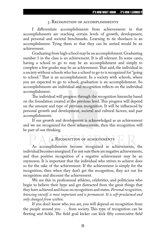#### 3. Recognition of accomplishments

I differentiate accomplishments from achievements in that accomplishments are reaching certain levels of growth, development, and personal and societal benchmarks. Learning to tie shoelaces is an accomplishment. Tying them so that they can be untied would be an achievement.

Graduating from high school may be an accomplishment. Graduating number 1 in the class is an achievement. It is all relevant. In some cases, having a school to go to may be an accomplishment and simply to complete a few grades may be an achievement. That said, the individual in a society without schools who has a school to go to is recognized for "going to school." That is an accomplishment. In a society with schools, where you are expected to go to school, graduation is an accomplishment. So accomplishments are individual and recognition reflects on the individual accomplishment.

The individual will progress through the recognition hierarchy based on the foundation created at the previous level. This progress will depend on the amount and type of previous recognition. It will be influenced by personal growth and development, societal and cultural factors, and past accomplishments.

If our growth and development is acknowledged as an achievement and we are recognized for these achievements, then this recognition will be part of our thinking.

## 4. Recognition of achievements

As accomplishments become recognized as achievements, the individual becomes energized. I'm not sure there are negative achievements, and thus positive recognition of a negative achievement may be an oxymoron. It is important that the individual who strives to achieve does so for the sake of the achievement. If the achievement is simply for the recognition, then when they don't get the recognition, they act out for recognition and discount the achievement.

We see this in professional athletes, celebrities, and politicians who begin to believe their hype and get distracted from the great things that they have achieved and focus on recognition and status. *Personalrecognition, knowing oneself, is most important and is permanent. It is self-proclaimed and only changed from within.*

If you don't know who you are, you will depend on recognition from the people around you . . . from society. This type of recognition can be fleeting and fickle. The field goal kicker can kick fifty consecutive field